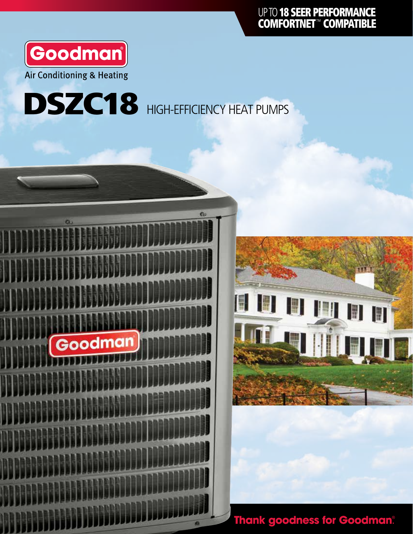

## DSZC18 HIGH-EFFICIENCY HEAT PUMPS





**Thank goodness for Goodman®**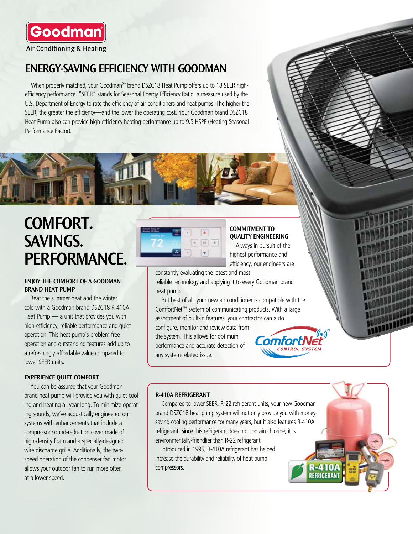

#### ENERGY-SAVING EFFICIENCY WITH GOODMAN

When properly matched, your Goodman<sup>®</sup> brand DSZC18 Heat Pump offers up to 18 SEER highefficiency performance. "SEER" stands for Seasonal Energy Efficiency Ratio, a measure used by the U.S. Department of Energy to rate the efficiency of air conditioners and heat pumps. The higher the SEER, the greater the efficiency—and the lower the operating cost. Your Goodman brand DSZC18 Heat Pump also can provide high-efficiency heating performance up to 9.5 HSPF (Heating Seasonal Performance Factor).



## COMFORT. SAVINGS. PERFORMANCE.

#### ENJOY THE COMFORT OF A GOODMAN BRAND HEAT PUMP

Beat the summer heat and the winter cold with a Goodman brand DSZC18 R-410A Heat Pump — a unit that provides you with high-efficiency, reliable performance and quiet operation. This heat pump's problem-free operation and outstanding features add up to a refreshingly affordable value compared to lower SEER units.

#### EXPERIENCE QUIET COMFORT

You can be assured that your Goodman brand heat pump will provide you with quiet cooling and heating all year long. To minimize operating sounds, we've acoustically engineered our systems with enhancements that include a compressor sound-reduction cover made of high-density foam and a specially-designed wire discharge grille. Additionally, the twospeed operation of the condenser fan motor allows your outdoor fan to run more often at a lower speed.



COMMITMENT TO QUALITY ENGINEERING

Always in pursuit of the highest performance and efficiency, our engineers are

constantly evaluating the latest and most reliable technology and applying it to every Goodman brand heat pump.

But best of all, your new air conditioner is compatible with the ComfortNet™ system of communicating products. With a large assortment of built-in features, your contractor can auto

configure, monitor and review data from the system. This allows for optimum performance and accurate detection of any system-related issue.



R-410 REFRIGERANT

#### R-410A REFRIGERANT

Compared to lower SEER, R-22 refrigerant units, your new Goodman brand DSZC18 heat pump system will not only provide you with moneysaving cooling performance for many years, but it also features R-410A refrigerant. Since this refrigerant does not contain chlorine, it is environmentally-friendlier than R-22 refrigerant.

Introduced in 1995, R-410A refrigerant has helped increase the durability and reliability of heat pump compressors.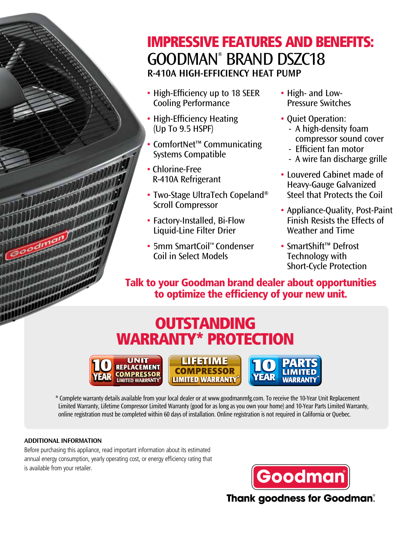## IMPRESSIVE FEATURES AND BENEFITS: GOODMAN® BRAND DSZC18 R-410A HIGH-EFFICIENCY HEAT PUMP

- High-Efficiency up to 18 SEER Cooling Performance
- High-Efficiency Heating (Up To 9.5 HSPF)
- ComfortNet™ Communicating Systems Compatible
- Chlorine-Free R-410A Refrigerant
- Two-Stage UltraTech Copeland® Scroll Compressor
- Factory-Installed, Bi-Flow Liquid-Line Filter Drier
- 5mm SmartCoil™ Condenser Coil in Select Models
- High- and Low-Pressure Switches
- Quiet Operation: - A high-density foam compressor sound cover
	- Efficient fan motor
	- A wire fan discharge grille
- Louvered Cabinet made of Heavy-Gauge Galvanized Steel that Protects the Coil
- Appliance-Quality, Post-Paint Finish Resists the Effects of Weather and Time
- SmartShift™ Defrost Technology with Short-Cycle Protection

Talk to your Goodman brand dealer about opportunities to optimize the efficiency of your new unit.

## **OUTSTANDING** WARRANTY\* PROTECTION







\* Complete warranty details available from your local dealer or at www.goodmanmfg.com. To receive the 10-Year Unit Replacement Limited Warranty, Lifetime Compressor Limited Warranty (good for as long as you own your home) and 10-Year Parts Limited Warranty, online registration must be completed within 60 days of installation. Online registration is not required in California or Quebec.

#### ADDITIONAL INFORMATION

Before purchasing this appliance, read important information about its estimated annual energy consumption, yearly operating cost, or energy efficiency rating that is available from your retailer.



**Thank goodness for Goodman®**